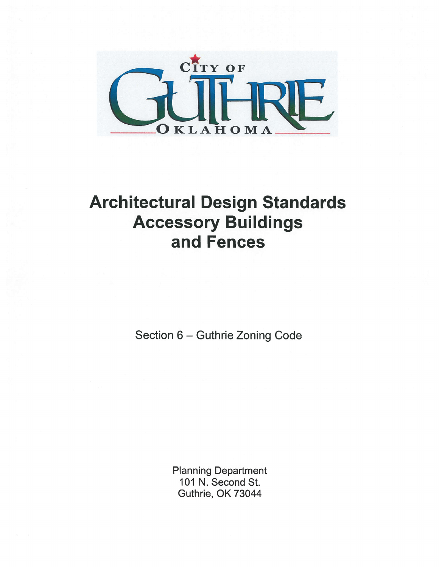

# **Architectural Design Standards Accessory Buildings** and Fences

Section 6 - Guthrie Zoning Code

**Planning Department** 101 N. Second St. Guthrie, OK 73044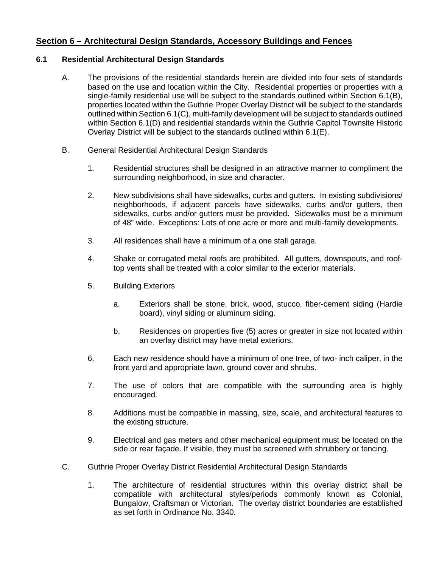# **Section 6 – Architectural Design Standards, Accessory Buildings and Fences**

## **6.1 Residential Architectural Design Standards**

- A. The provisions of the residential standards herein are divided into four sets of standards based on the use and location within the City. Residential properties or properties with a single-family residential use will be subject to the standards outlined within Section 6.1(B), properties located within the Guthrie Proper Overlay District will be subject to the standards outlined within Section 6.1(C), multi-family development will be subject to standards outlined within Section 6.1(D) and residential standards within the Guthrie Capitol Townsite Historic Overlay District will be subject to the standards outlined within 6.1(E).
- B. General Residential Architectural Design Standards
	- 1. Residential structures shall be designed in an attractive manner to compliment the surrounding neighborhood, in size and character.
	- 2. New subdivisions shall have sidewalks, curbs and gutters. In existing subdivisions/ neighborhoods, if adjacent parcels have sidewalks, curbs and/or gutters, then sidewalks, curbs and/or gutters must be provided**.** Sidewalks must be a minimum of 48" wide. Exceptions: Lots of one acre or more and multi-family developments.
	- 3. All residences shall have a minimum of a one stall garage.
	- 4. Shake or corrugated metal roofs are prohibited. All gutters, downspouts, and rooftop vents shall be treated with a color similar to the exterior materials.
	- 5. Building Exteriors
		- a. Exteriors shall be stone, brick, wood, stucco, fiber-cement siding (Hardie board), vinyl siding or aluminum siding.
		- b. Residences on properties five (5) acres or greater in size not located within an overlay district may have metal exteriors.
	- 6. Each new residence should have a minimum of one tree, of two- inch caliper, in the front yard and appropriate lawn, ground cover and shrubs.
	- 7. The use of colors that are compatible with the surrounding area is highly encouraged.
	- 8. Additions must be compatible in massing, size, scale, and architectural features to the existing structure.
	- 9. Electrical and gas meters and other mechanical equipment must be located on the side or rear façade. If visible, they must be screened with shrubbery or fencing.
- C. Guthrie Proper Overlay District Residential Architectural Design Standards
	- 1. The architecture of residential structures within this overlay district shall be compatible with architectural styles/periods commonly known as Colonial, Bungalow, Craftsman or Victorian. The overlay district boundaries are established as set forth in Ordinance No. 3340.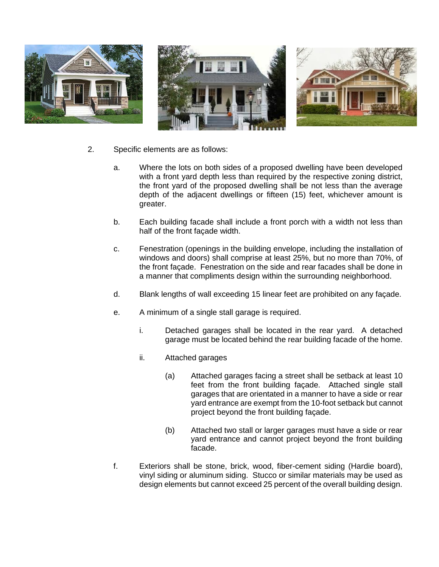

- 2. Specific elements are as follows:
	- a. Where the lots on both sides of a proposed dwelling have been developed with a front yard depth less than required by the respective zoning district, the front yard of the proposed dwelling shall be not less than the average depth of the adjacent dwellings or fifteen (15) feet, whichever amount is greater.
	- b. Each building facade shall include a front porch with a width not less than half of the front façade width.
	- c. Fenestration (openings in the building envelope, including the installation of windows and doors) shall comprise at least 25%, but no more than 70%, of the front façade. Fenestration on the side and rear facades shall be done in a manner that compliments design within the surrounding neighborhood.
	- d. Blank lengths of wall exceeding 15 linear feet are prohibited on any façade.
	- e. A minimum of a single stall garage is required.
		- i. Detached garages shall be located in the rear yard. A detached garage must be located behind the rear building facade of the home.
		- ii. Attached garages
			- (a) Attached garages facing a street shall be setback at least 10 feet from the front building façade. Attached single stall garages that are orientated in a manner to have a side or rear yard entrance are exempt from the 10-foot setback but cannot project beyond the front building façade.
			- (b) Attached two stall or larger garages must have a side or rear yard entrance and cannot project beyond the front building facade.
	- f. Exteriors shall be stone, brick, wood, fiber-cement siding (Hardie board), vinyl siding or aluminum siding. Stucco or similar materials may be used as design elements but cannot exceed 25 percent of the overall building design.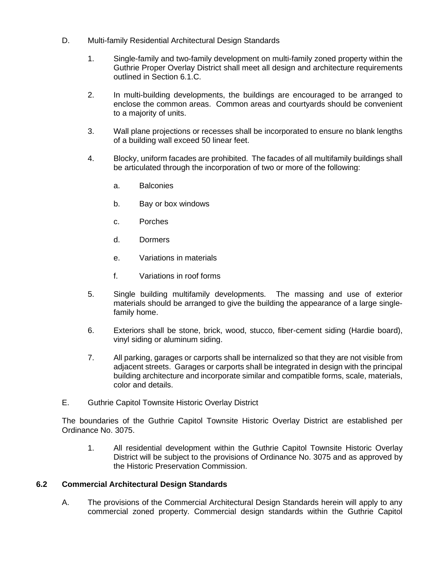- D. Multi-family Residential Architectural Design Standards
	- 1. Single-family and two-family development on multi-family zoned property within the Guthrie Proper Overlay District shall meet all design and architecture requirements outlined in Section 6.1.C.
	- 2. In multi-building developments, the buildings are encouraged to be arranged to enclose the common areas. Common areas and courtyards should be convenient to a majority of units.
	- 3. Wall plane projections or recesses shall be incorporated to ensure no blank lengths of a building wall exceed 50 linear feet.
	- 4. Blocky, uniform facades are prohibited. The facades of all multifamily buildings shall be articulated through the incorporation of two or more of the following:
		- a. Balconies
		- b. Bay or box windows
		- c. Porches
		- d. Dormers
		- e. Variations in materials
		- f. Variations in roof forms
	- 5. Single building multifamily developments. The massing and use of exterior materials should be arranged to give the building the appearance of a large singlefamily home.
	- 6. Exteriors shall be stone, brick, wood, stucco, fiber-cement siding (Hardie board), vinyl siding or aluminum siding.
	- 7. All parking, garages or carports shall be internalized so that they are not visible from adjacent streets. Garages or carports shall be integrated in design with the principal building architecture and incorporate similar and compatible forms, scale, materials, color and details.
- E. Guthrie Capitol Townsite Historic Overlay District

The boundaries of the Guthrie Capitol Townsite Historic Overlay District are established per Ordinance No. 3075.

1. All residential development within the Guthrie Capitol Townsite Historic Overlay District will be subject to the provisions of Ordinance No. 3075 and as approved by the Historic Preservation Commission.

## **6.2 Commercial Architectural Design Standards**

A. The provisions of the Commercial Architectural Design Standards herein will apply to any commercial zoned property. Commercial design standards within the Guthrie Capitol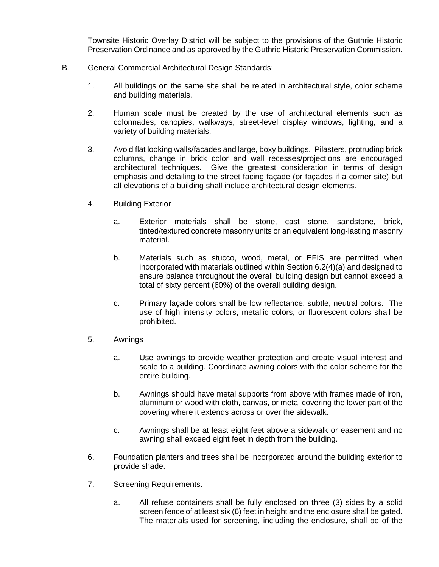Townsite Historic Overlay District will be subject to the provisions of the Guthrie Historic Preservation Ordinance and as approved by the Guthrie Historic Preservation Commission.

- B. General Commercial Architectural Design Standards:
	- 1. All buildings on the same site shall be related in architectural style, color scheme and building materials.
	- 2. Human scale must be created by the use of architectural elements such as colonnades, canopies, walkways, street-level display windows, lighting, and a variety of building materials.
	- 3. Avoid flat looking walls/facades and large, boxy buildings. Pilasters, protruding brick columns, change in brick color and wall recesses/projections are encouraged architectural techniques. Give the greatest consideration in terms of design emphasis and detailing to the street facing façade (or façades if a corner site) but all elevations of a building shall include architectural design elements.
	- 4. Building Exterior
		- a. Exterior materials shall be stone, cast stone, sandstone, brick, tinted/textured concrete masonry units or an equivalent long-lasting masonry material.
		- b. Materials such as stucco, wood, metal, or EFIS are permitted when incorporated with materials outlined within Section 6.2(4)(a) and designed to ensure balance throughout the overall building design but cannot exceed a total of sixty percent (60%) of the overall building design.
		- c. Primary façade colors shall be low reflectance, subtle, neutral colors. The use of high intensity colors, metallic colors, or fluorescent colors shall be prohibited.
	- 5. Awnings
		- a. Use awnings to provide weather protection and create visual interest and scale to a building. Coordinate awning colors with the color scheme for the entire building.
		- b. Awnings should have metal supports from above with frames made of iron, aluminum or wood with cloth, canvas, or metal covering the lower part of the covering where it extends across or over the sidewalk.
		- c. Awnings shall be at least eight feet above a sidewalk or easement and no awning shall exceed eight feet in depth from the building.
	- 6. Foundation planters and trees shall be incorporated around the building exterior to provide shade.
	- 7. Screening Requirements.
		- a. All refuse containers shall be fully enclosed on three (3) sides by a solid screen fence of at least six (6) feet in height and the enclosure shall be gated. The materials used for screening, including the enclosure, shall be of the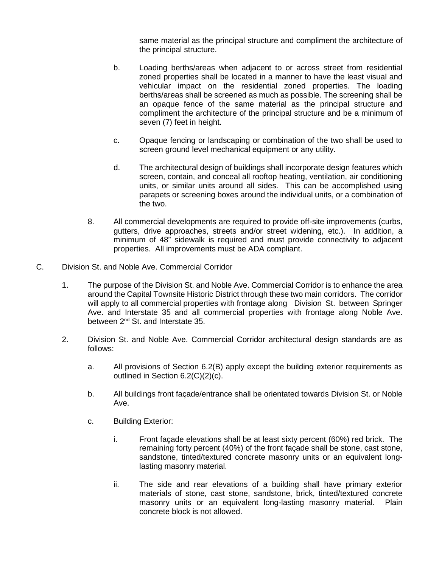same material as the principal structure and compliment the architecture of the principal structure.

- b. Loading berths/areas when adjacent to or across street from residential zoned properties shall be located in a manner to have the least visual and vehicular impact on the residential zoned properties. The loading berths/areas shall be screened as much as possible. The screening shall be an opaque fence of the same material as the principal structure and compliment the architecture of the principal structure and be a minimum of seven (7) feet in height.
- c. Opaque fencing or landscaping or combination of the two shall be used to screen ground level mechanical equipment or any utility.
- d. The architectural design of buildings shall incorporate design features which screen, contain, and conceal all rooftop heating, ventilation, air conditioning units, or similar units around all sides. This can be accomplished using parapets or screening boxes around the individual units, or a combination of the two.
- 8. All commercial developments are required to provide off-site improvements (curbs, gutters, drive approaches, streets and/or street widening, etc.). In addition, a minimum of 48" sidewalk is required and must provide connectivity to adjacent properties. All improvements must be ADA compliant.
- C. Division St. and Noble Ave. Commercial Corridor
	- 1. The purpose of the Division St. and Noble Ave. Commercial Corridor is to enhance the area around the Capital Townsite Historic District through these two main corridors. The corridor will apply to all commercial properties with frontage along Division St. between Springer Ave. and Interstate 35 and all commercial properties with frontage along Noble Ave. between 2<sup>nd</sup> St. and Interstate 35.
	- 2. Division St. and Noble Ave. Commercial Corridor architectural design standards are as follows:
		- a. All provisions of Section 6.2(B) apply except the building exterior requirements as outlined in Section 6.2(C)(2)(c).
		- b. All buildings front façade/entrance shall be orientated towards Division St. or Noble Ave.
		- c. Building Exterior:
			- i. Front façade elevations shall be at least sixty percent (60%) red brick. The remaining forty percent (40%) of the front façade shall be stone, cast stone, sandstone, tinted/textured concrete masonry units or an equivalent longlasting masonry material.
			- ii. The side and rear elevations of a building shall have primary exterior materials of stone, cast stone, sandstone, brick, tinted/textured concrete masonry units or an equivalent long-lasting masonry material. Plain concrete block is not allowed.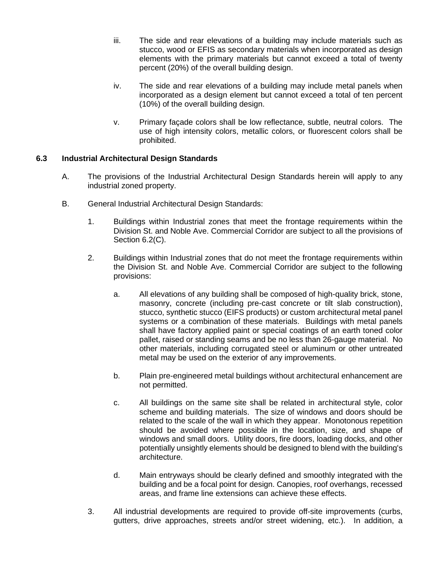- iii. The side and rear elevations of a building may include materials such as stucco, wood or EFIS as secondary materials when incorporated as design elements with the primary materials but cannot exceed a total of twenty percent (20%) of the overall building design.
- iv. The side and rear elevations of a building may include metal panels when incorporated as a design element but cannot exceed a total of ten percent (10%) of the overall building design.
- v. Primary façade colors shall be low reflectance, subtle, neutral colors. The use of high intensity colors, metallic colors, or fluorescent colors shall be prohibited.

# **6.3 Industrial Architectural Design Standards**

- A. The provisions of the Industrial Architectural Design Standards herein will apply to any industrial zoned property.
- B. General Industrial Architectural Design Standards:
	- 1. Buildings within Industrial zones that meet the frontage requirements within the Division St. and Noble Ave. Commercial Corridor are subject to all the provisions of Section 6.2(C).
	- 2. Buildings within Industrial zones that do not meet the frontage requirements within the Division St. and Noble Ave. Commercial Corridor are subject to the following provisions:
		- a. All elevations of any building shall be composed of high-quality brick, stone, masonry, concrete (including pre-cast concrete or tilt slab construction), stucco, synthetic stucco (EIFS products) or custom architectural metal panel systems or a combination of these materials. Buildings with metal panels shall have factory applied paint or special coatings of an earth toned color pallet, raised or standing seams and be no less than 26-gauge material. No other materials, including corrugated steel or aluminum or other untreated metal may be used on the exterior of any improvements.
		- b. Plain pre-engineered metal buildings without architectural enhancement are not permitted.
		- c. All buildings on the same site shall be related in architectural style, color scheme and building materials. The size of windows and doors should be related to the scale of the wall in which they appear. Monotonous repetition should be avoided where possible in the location, size, and shape of windows and small doors. Utility doors, fire doors, loading docks, and other potentially unsightly elements should be designed to blend with the building's architecture.
		- d. Main entryways should be clearly defined and smoothly integrated with the building and be a focal point for design. Canopies, roof overhangs, recessed areas, and frame line extensions can achieve these effects.
	- 3. All industrial developments are required to provide off-site improvements (curbs, gutters, drive approaches, streets and/or street widening, etc.). In addition, a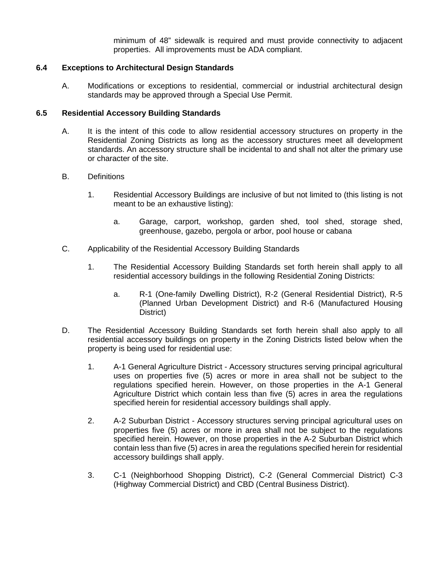minimum of 48" sidewalk is required and must provide connectivity to adjacent properties. All improvements must be ADA compliant.

#### **6.4 Exceptions to Architectural Design Standards**

A. Modifications or exceptions to residential, commercial or industrial architectural design standards may be approved through a Special Use Permit.

#### **6.5 Residential Accessory Building Standards**

- A. It is the intent of this code to allow residential accessory structures on property in the Residential Zoning Districts as long as the accessory structures meet all development standards. An accessory structure shall be incidental to and shall not alter the primary use or character of the site.
- B. Definitions
	- 1. Residential Accessory Buildings are inclusive of but not limited to (this listing is not meant to be an exhaustive listing):
		- a. Garage, carport, workshop, garden shed, tool shed, storage shed, greenhouse, gazebo, pergola or arbor, pool house or cabana
- C. Applicability of the Residential Accessory Building Standards
	- 1. The Residential Accessory Building Standards set forth herein shall apply to all residential accessory buildings in the following Residential Zoning Districts:
		- a. R-1 (One-family Dwelling District), R-2 (General Residential District), R-5 (Planned Urban Development District) and R-6 (Manufactured Housing District)
- D. The Residential Accessory Building Standards set forth herein shall also apply to all residential accessory buildings on property in the Zoning Districts listed below when the property is being used for residential use:
	- 1. A-1 General Agriculture District Accessory structures serving principal agricultural uses on properties five (5) acres or more in area shall not be subject to the regulations specified herein. However, on those properties in the A-1 General Agriculture District which contain less than five (5) acres in area the regulations specified herein for residential accessory buildings shall apply.
	- 2. A-2 Suburban District Accessory structures serving principal agricultural uses on properties five (5) acres or more in area shall not be subject to the regulations specified herein. However, on those properties in the A-2 Suburban District which contain less than five (5) acres in area the regulations specified herein for residential accessory buildings shall apply.
	- 3. C-1 (Neighborhood Shopping District), C-2 (General Commercial District) C-3 (Highway Commercial District) and CBD (Central Business District).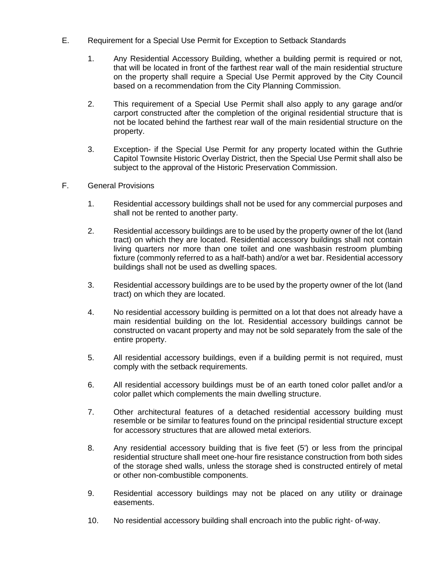- E. Requirement for a Special Use Permit for Exception to Setback Standards
	- 1. Any Residential Accessory Building, whether a building permit is required or not, that will be located in front of the farthest rear wall of the main residential structure on the property shall require a Special Use Permit approved by the City Council based on a recommendation from the City Planning Commission.
	- 2. This requirement of a Special Use Permit shall also apply to any garage and/or carport constructed after the completion of the original residential structure that is not be located behind the farthest rear wall of the main residential structure on the property.
	- 3. Exception- if the Special Use Permit for any property located within the Guthrie Capitol Townsite Historic Overlay District, then the Special Use Permit shall also be subject to the approval of the Historic Preservation Commission.
- F. General Provisions
	- 1. Residential accessory buildings shall not be used for any commercial purposes and shall not be rented to another party.
	- 2. Residential accessory buildings are to be used by the property owner of the lot (land tract) on which they are located. Residential accessory buildings shall not contain living quarters nor more than one toilet and one washbasin restroom plumbing fixture (commonly referred to as a half-bath) and/or a wet bar. Residential accessory buildings shall not be used as dwelling spaces.
	- 3. Residential accessory buildings are to be used by the property owner of the lot (land tract) on which they are located.
	- 4. No residential accessory building is permitted on a lot that does not already have a main residential building on the lot. Residential accessory buildings cannot be constructed on vacant property and may not be sold separately from the sale of the entire property.
	- 5. All residential accessory buildings, even if a building permit is not required, must comply with the setback requirements.
	- 6. All residential accessory buildings must be of an earth toned color pallet and/or a color pallet which complements the main dwelling structure.
	- 7. Other architectural features of a detached residential accessory building must resemble or be similar to features found on the principal residential structure except for accessory structures that are allowed metal exteriors.
	- 8. Any residential accessory building that is five feet (5') or less from the principal residential structure shall meet one-hour fire resistance construction from both sides of the storage shed walls, unless the storage shed is constructed entirely of metal or other non-combustible components.
	- 9. Residential accessory buildings may not be placed on any utility or drainage easements.
	- 10. No residential accessory building shall encroach into the public right- of-way.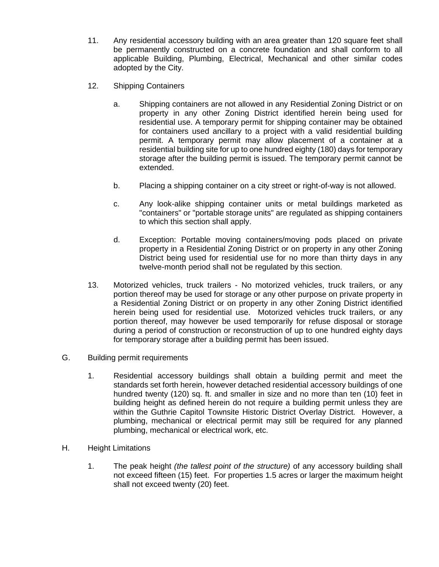- 11. Any residential accessory building with an area greater than 120 square feet shall be permanently constructed on a concrete foundation and shall conform to all applicable Building, Plumbing, Electrical, Mechanical and other similar codes adopted by the City.
- 12. Shipping Containers
	- a. Shipping containers are not allowed in any Residential Zoning District or on property in any other Zoning District identified herein being used for residential use. A temporary permit for shipping container may be obtained for containers used ancillary to a project with a valid residential building permit. A temporary permit may allow placement of a container at a residential building site for up to one hundred eighty (180) days for temporary storage after the building permit is issued. The temporary permit cannot be extended.
	- b. Placing a shipping container on a city street or right-of-way is not allowed.
	- c. Any look-alike shipping container units or metal buildings marketed as "containers" or "portable storage units" are regulated as shipping containers to which this section shall apply.
	- d. Exception: Portable moving containers/moving pods placed on private property in a Residential Zoning District or on property in any other Zoning District being used for residential use for no more than thirty days in any twelve-month period shall not be regulated by this section.
- 13. Motorized vehicles, truck trailers No motorized vehicles, truck trailers, or any portion thereof may be used for storage or any other purpose on private property in a Residential Zoning District or on property in any other Zoning District identified herein being used for residential use. Motorized vehicles truck trailers, or any portion thereof, may however be used temporarily for refuse disposal or storage during a period of construction or reconstruction of up to one hundred eighty days for temporary storage after a building permit has been issued.
- G. Building permit requirements
	- 1. Residential accessory buildings shall obtain a building permit and meet the standards set forth herein, however detached residential accessory buildings of one hundred twenty (120) sq. ft. and smaller in size and no more than ten (10) feet in building height as defined herein do not require a building permit unless they are within the Guthrie Capitol Townsite Historic District Overlay District. However, a plumbing, mechanical or electrical permit may still be required for any planned plumbing, mechanical or electrical work, etc.
- H. Height Limitations
	- 1. The peak height *(the tallest point of the structure)* of any accessory building shall not exceed fifteen (15) feet. For properties 1.5 acres or larger the maximum height shall not exceed twenty (20) feet.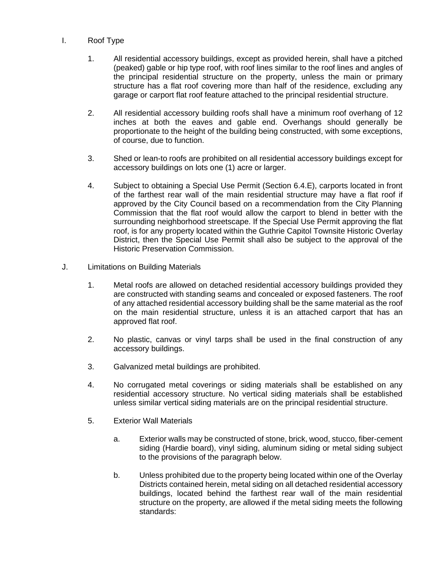#### I. Roof Type

- 1. All residential accessory buildings, except as provided herein, shall have a pitched (peaked) gable or hip type roof, with roof lines similar to the roof lines and angles of the principal residential structure on the property, unless the main or primary structure has a flat roof covering more than half of the residence, excluding any garage or carport flat roof feature attached to the principal residential structure.
- 2. All residential accessory building roofs shall have a minimum roof overhang of 12 inches at both the eaves and gable end. Overhangs should generally be proportionate to the height of the building being constructed, with some exceptions, of course, due to function.
- 3. Shed or lean-to roofs are prohibited on all residential accessory buildings except for accessory buildings on lots one (1) acre or larger.
- 4. Subject to obtaining a Special Use Permit (Section 6.4.E), carports located in front of the farthest rear wall of the main residential structure may have a flat roof if approved by the City Council based on a recommendation from the City Planning Commission that the flat roof would allow the carport to blend in better with the surrounding neighborhood streetscape. If the Special Use Permit approving the flat roof, is for any property located within the Guthrie Capitol Townsite Historic Overlay District, then the Special Use Permit shall also be subject to the approval of the Historic Preservation Commission.
- J. Limitations on Building Materials
	- 1. Metal roofs are allowed on detached residential accessory buildings provided they are constructed with standing seams and concealed or exposed fasteners. The roof of any attached residential accessory building shall be the same material as the roof on the main residential structure, unless it is an attached carport that has an approved flat roof.
	- 2. No plastic, canvas or vinyl tarps shall be used in the final construction of any accessory buildings.
	- 3. Galvanized metal buildings are prohibited.
	- 4. No corrugated metal coverings or siding materials shall be established on any residential accessory structure. No vertical siding materials shall be established unless similar vertical siding materials are on the principal residential structure.
	- 5. Exterior Wall Materials
		- a. Exterior walls may be constructed of stone, brick, wood, stucco, fiber-cement siding (Hardie board), vinyl siding, aluminum siding or metal siding subject to the provisions of the paragraph below.
		- b. Unless prohibited due to the property being located within one of the Overlay Districts contained herein, metal siding on all detached residential accessory buildings, located behind the farthest rear wall of the main residential structure on the property, are allowed if the metal siding meets the following standards: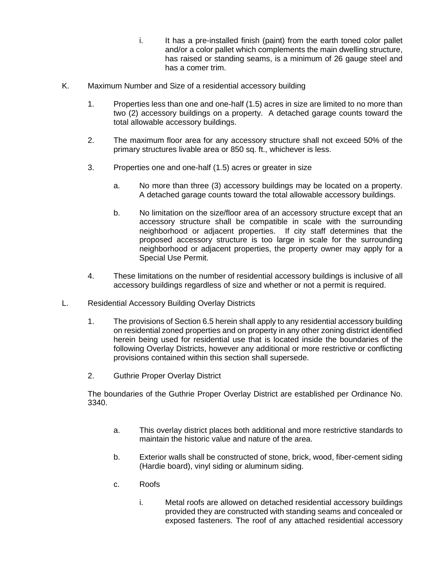- i. It has a pre-installed finish (paint) from the earth toned color pallet and/or a color pallet which complements the main dwelling structure, has raised or standing seams, is a minimum of 26 gauge steel and has a comer trim.
- K. Maximum Number and Size of a residential accessory building
	- 1. Properties less than one and one-half (1.5) acres in size are limited to no more than two (2) accessory buildings on a property. A detached garage counts toward the total allowable accessory buildings.
	- 2. The maximum floor area for any accessory structure shall not exceed 50% of the primary structures livable area or 850 sq. ft., whichever is less.
	- 3. Properties one and one-half (1.5) acres or greater in size
		- a. No more than three (3) accessory buildings may be located on a property. A detached garage counts toward the total allowable accessory buildings.
		- b. No limitation on the size/floor area of an accessory structure except that an accessory structure shall be compatible in scale with the surrounding neighborhood or adjacent properties. If city staff determines that the proposed accessory structure is too large in scale for the surrounding neighborhood or adjacent properties, the property owner may apply for a Special Use Permit.
	- 4. These limitations on the number of residential accessory buildings is inclusive of all accessory buildings regardless of size and whether or not a permit is required.
- L. Residential Accessory Building Overlay Districts
	- 1. The provisions of Section 6.5 herein shall apply to any residential accessory building on residential zoned properties and on property in any other zoning district identified herein being used for residential use that is located inside the boundaries of the following Overlay Districts, however any additional or more restrictive or conflicting provisions contained within this section shall supersede.
	- 2. Guthrie Proper Overlay District

The boundaries of the Guthrie Proper Overlay District are established per Ordinance No. 3340.

- a. This overlay district places both additional and more restrictive standards to maintain the historic value and nature of the area.
- b. Exterior walls shall be constructed of stone, brick, wood, fiber-cement siding (Hardie board), vinyl siding or aluminum siding.
- c. Roofs
	- i. Metal roofs are allowed on detached residential accessory buildings provided they are constructed with standing seams and concealed or exposed fasteners. The roof of any attached residential accessory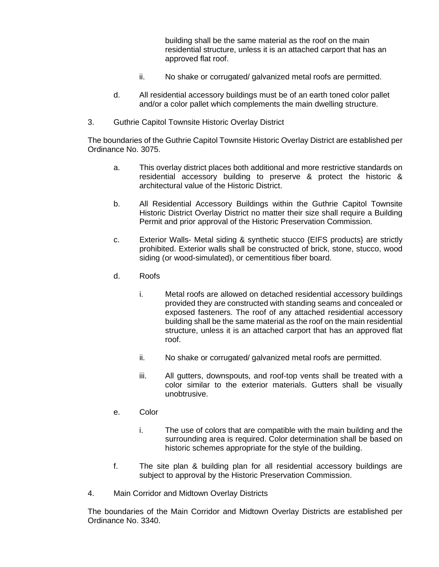building shall be the same material as the roof on the main residential structure, unless it is an attached carport that has an approved flat roof.

- ii. No shake or corrugated/ galvanized metal roofs are permitted.
- d. All residential accessory buildings must be of an earth toned color pallet and/or a color pallet which complements the main dwelling structure.
- 3. Guthrie Capitol Townsite Historic Overlay District

The boundaries of the Guthrie Capitol Townsite Historic Overlay District are established per Ordinance No. 3075.

- a. This overlay district places both additional and more restrictive standards on residential accessory building to preserve & protect the historic & architectural value of the Historic District.
- b. All Residential Accessory Buildings within the Guthrie Capitol Townsite Historic District Overlay District no matter their size shall require a Building Permit and prior approval of the Historic Preservation Commission.
- c. Exterior Walls- Metal siding & synthetic stucco {EIFS products} are strictly prohibited. Exterior walls shall be constructed of brick, stone, stucco, wood siding (or wood-simulated), or cementitious fiber board.
- d. Roofs
	- i. Metal roofs are allowed on detached residential accessory buildings provided they are constructed with standing seams and concealed or exposed fasteners. The roof of any attached residential accessory building shall be the same material as the roof on the main residential structure, unless it is an attached carport that has an approved flat roof.
	- ii. No shake or corrugated/ galvanized metal roofs are permitted.
	- iii. All gutters, downspouts, and roof-top vents shall be treated with a color similar to the exterior materials. Gutters shall be visually unobtrusive.
- e. Color
	- i. The use of colors that are compatible with the main building and the surrounding area is required. Color determination shall be based on historic schemes appropriate for the style of the building.
- f. The site plan & building plan for all residential accessory buildings are subject to approval by the Historic Preservation Commission.
- 4. Main Corridor and Midtown Overlay Districts

The boundaries of the Main Corridor and Midtown Overlay Districts are established per Ordinance No. 3340.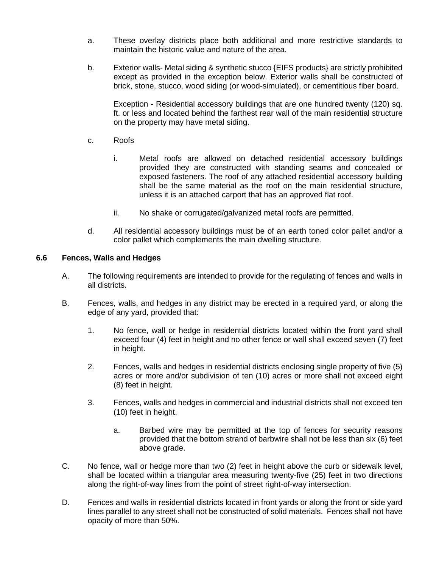- a. These overlay districts place both additional and more restrictive standards to maintain the historic value and nature of the area.
- b. Exterior walls- Metal siding & synthetic stucco {EIFS products} are strictly prohibited except as provided in the exception below. Exterior walls shall be constructed of brick, stone, stucco, wood siding (or wood-simulated), or cementitious fiber board.

Exception - Residential accessory buildings that are one hundred twenty (120) sq. ft. or less and located behind the farthest rear wall of the main residential structure on the property may have metal siding.

- c. Roofs
	- i. Metal roofs are allowed on detached residential accessory buildings provided they are constructed with standing seams and concealed or exposed fasteners. The roof of any attached residential accessory building shall be the same material as the roof on the main residential structure, unless it is an attached carport that has an approved flat roof.
	- ii. No shake or corrugated/galvanized metal roofs are permitted.
- d. All residential accessory buildings must be of an earth toned color pallet and/or a color pallet which complements the main dwelling structure.

#### **6.6 Fences, Walls and Hedges**

- A. The following requirements are intended to provide for the regulating of fences and walls in all districts.
- B. Fences, walls, and hedges in any district may be erected in a required yard, or along the edge of any yard, provided that:
	- 1. No fence, wall or hedge in residential districts located within the front yard shall exceed four (4) feet in height and no other fence or wall shall exceed seven (7) feet in height.
	- 2. Fences, walls and hedges in residential districts enclosing single property of five (5) acres or more and/or subdivision of ten (10) acres or more shall not exceed eight (8) feet in height.
	- 3. Fences, walls and hedges in commercial and industrial districts shall not exceed ten (10) feet in height.
		- a. Barbed wire may be permitted at the top of fences for security reasons provided that the bottom strand of barbwire shall not be less than six (6) feet above grade.
- C. No fence, wall or hedge more than two (2) feet in height above the curb or sidewalk level, shall be located within a triangular area measuring twenty-five (25) feet in two directions along the right-of-way lines from the point of street right-of-way intersection.
- D. Fences and walls in residential districts located in front yards or along the front or side yard lines parallel to any street shall not be constructed of solid materials. Fences shall not have opacity of more than 50%.